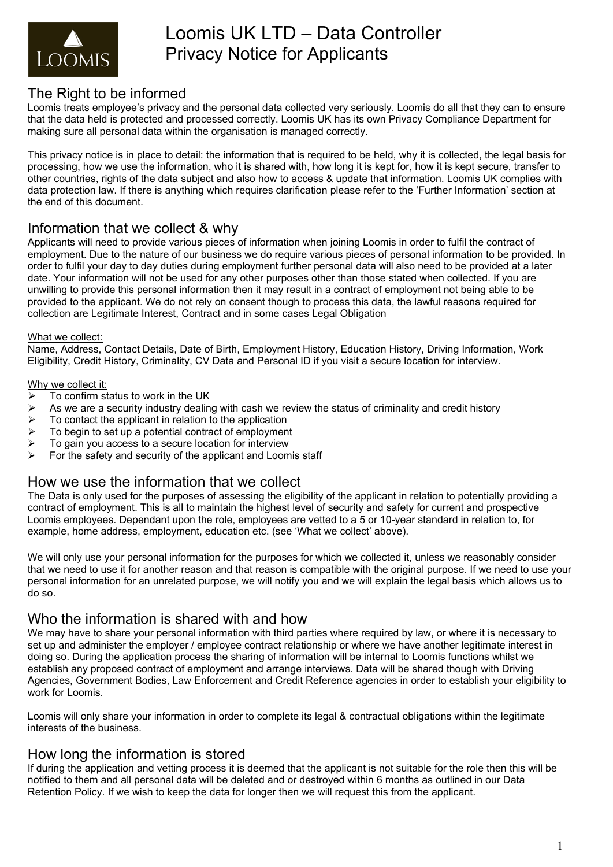

# The Right to be informed

Loomis treats employee's privacy and the personal data collected very seriously. Loomis do all that they can to ensure that the data held is protected and processed correctly. Loomis UK has its own Privacy Compliance Department for making sure all personal data within the organisation is managed correctly.

This privacy notice is in place to detail: the information that is required to be held, why it is collected, the legal basis for processing, how we use the information, who it is shared with, how long it is kept for, how it is kept secure, transfer to other countries, rights of the data subject and also how to access & update that information. Loomis UK complies with data protection law. If there is anything which requires clarification please refer to the 'Further Information' section at the end of this document.

# Information that we collect & why

Applicants will need to provide various pieces of information when joining Loomis in order to fulfil the contract of employment. Due to the nature of our business we do require various pieces of personal information to be provided. In order to fulfil your day to day duties during employment further personal data will also need to be provided at a later date. Your information will not be used for any other purposes other than those stated when collected. If you are unwilling to provide this personal information then it may result in a contract of employment not being able to be provided to the applicant. We do not rely on consent though to process this data, the lawful reasons required for collection are Legitimate Interest, Contract and in some cases Legal Obligation

#### What we collect:

Name, Address, Contact Details, Date of Birth, Employment History, Education History, Driving Information, Work Eligibility, Credit History, Criminality, CV Data and Personal ID if you visit a secure location for interview.

#### Why we collect it:

- $\triangleright$  To confirm status to work in the UK
- $\triangleright$  As we are a security industry dealing with cash we review the status of criminality and credit history
- $\triangleright$  To contact the applicant in relation to the application
- $\triangleright$  To begin to set up a potential contract of employment
- $\triangleright$  To gain you access to a secure location for interview
- $\triangleright$  For the safety and security of the applicant and Loomis staff

# How we use the information that we collect

The Data is only used for the purposes of assessing the eligibility of the applicant in relation to potentially providing a contract of employment. This is all to maintain the highest level of security and safety for current and prospective Loomis employees. Dependant upon the role, employees are vetted to a 5 or 10-year standard in relation to, for example, home address, employment, education etc. (see 'What we collect' above).

We will only use your personal information for the purposes for which we collected it, unless we reasonably consider that we need to use it for another reason and that reason is compatible with the original purpose. If we need to use your personal information for an unrelated purpose, we will notify you and we will explain the legal basis which allows us to do so.

# Who the information is shared with and how

We may have to share your personal information with third parties where required by law, or where it is necessary to set up and administer the employer / employee contract relationship or where we have another legitimate interest in doing so. During the application process the sharing of information will be internal to Loomis functions whilst we establish any proposed contract of employment and arrange interviews. Data will be shared though with Driving Agencies, Government Bodies, Law Enforcement and Credit Reference agencies in order to establish your eligibility to work for Loomis.

Loomis will only share your information in order to complete its legal & contractual obligations within the legitimate interests of the business.

# How long the information is stored

If during the application and vetting process it is deemed that the applicant is not suitable for the role then this will be notified to them and all personal data will be deleted and or destroyed within 6 months as outlined in our Data Retention Policy. If we wish to keep the data for longer then we will request this from the applicant.